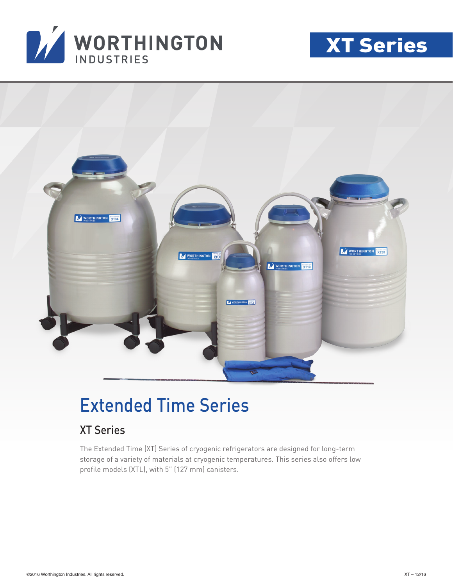





## Extended Time Series

### XT Series

The Extended Time (XT) Series of cryogenic refrigerators are designed for long-term storage of a variety of materials at cryogenic temperatures. This series also offers low profile models (XTL), with 5" (127 mm) canisters.